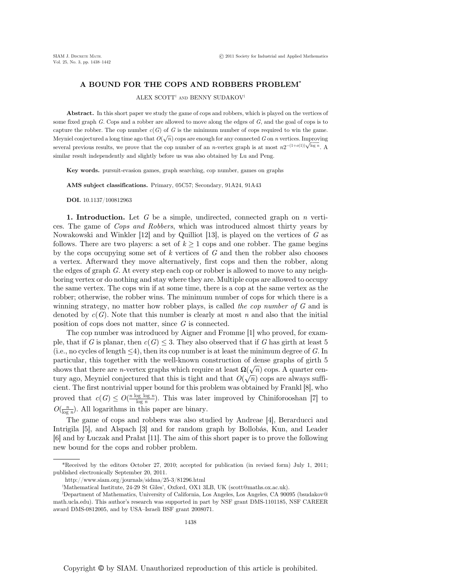## A BOUND FOR THE COPS AND ROBBERS PROBLEM\*

ALEX SCOTT† AND BENNY SUDAKOV‡

Abstract. In this short paper we study the game of cops and robbers, which is played on the vertices of some fixed graph  $G$ . Cops and a robber are allowed to move along the edges of  $G$ , and the goal of cops is to capture the robber. The cop number  $c(G)$  of G is the minimum number of cops required to win the game. Meyniel conjectured a long time ago that  $O(\sqrt{n})$  cops are enough for any connected G on n vertices. Improving several previous results, we prove that the cop number of an *n*-vertex graph is at most  $n2^{-(1+o(1))\sqrt{\log n}}$ . A similar result independently and slightly before us was also obtained by Lu and Peng.

Key words. pursuit-evasion games, graph searching, cop number, games on graphs

AMS subject classifications. Primary, 05C57; Secondary, 91A24, 91A43

DOI. 10.1137/100812963

**1. Introduction.** Let G be a simple, undirected, connected graph on n vertices. The game of Cops and Robbers, which was introduced almost thirty years by Nowakowski and Winkler  $[12]$  and by Quilliot  $[13]$ , is played on the vertices of G as follows. There are two players: a set of  $k \geq 1$  cops and one robber. The game begins by the cops occupying some set of  $k$  vertices of  $G$  and then the robber also chooses a vertex. Afterward they move alternatively, first cops and then the robber, along the edges of graph G. At every step each cop or robber is allowed to move to any neighboring vertex or do nothing and stay where they are. Multiple cops are allowed to occupy the same vertex. The cops win if at some time, there is a cop at the same vertex as the robber; otherwise, the robber wins. The minimum number of cops for which there is a winning strategy, no matter how robber plays, is called the cop number of G and is denoted by  $c(G)$ . Note that this number is clearly at most n and also that the initial position of cops does not matter, since G is connected.

The cop number was introduced by Aigner and Fromme [1] who proved, for example, that if G is planar, then  $c(G) \leq 3$ . They also observed that if G has girth at least 5 (i.e., no cycles of length  $\leq 4$ ), then its cop number is at least the minimum degree of G. In particular, this together with the well-known construction of dense graphs of girth 5 shows that there are *n*-vertex graphs which require at least  $\Omega(\sqrt{n})$  cops. A quarter century ago, Meyniel conjectured that this is tight and that  $O(\sqrt{n})$  cops are always sufficient. The first nontrivial upper bound for this problem was obtained by Frankl [8], who proved that  $c(G) \leq O(\frac{n \log \log n}{\log n})$ . This was later improved by Chiniforooshan [7] to  $O(\frac{n}{\log n})$ . All logarithms in this proper are binary  $O(\frac{n}{\log n})$ . All logarithms in this paper are binary.

The game of cops and robbers was also studied by Andreae [4], Berarducci and Intrigila [5], and Alspach [3] and for random graph by Bollobás, Kun, and Leader [6] and by Łuczak and Prałat [11]. The aim of this short paper is to prove the following new bound for the cops and robber problem.

http://www.siam.org/journals/sidma/25-3/81296.html

<sup>\*</sup>Received by the editors October 27, 2010; accepted for publication (in revised form) July 1, 2011; published electronically September 20, 2011.

<sup>†</sup> Mathematical Institute, 24-29 St Giles', Oxford, OX1 3LB, UK (scott@maths.ox.ac.uk).

<sup>‡</sup> Department of Mathematics, University of California, Los Angeles, Los Angeles, CA 90095 (bsudakov@ math.ucla.edu). This author's research was supported in part by NSF grant DMS-1101185, NSF CAREER award DMS-0812005, and by USA–Israeli BSF grant 2008071.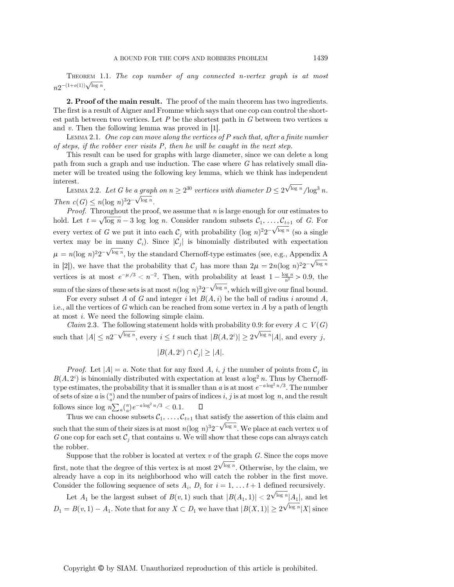THEOREM 1.1. The cop number of any connected n-vertex graph is at most  $n2^{-(1+o(1))\sqrt{\log n}}.$ 

2. Proof of the main result. The proof of the main theorem has two ingredients. The first is a result of Aigner and Fromme which says that one cop can control the shortest path between two vertices. Let  $P$  be the shortest path in  $G$  between two vertices  $u$ and v. Then the following lemma was proved in [1].

LEMMA 2.1. One cop can move along the vertices of P such that, after a finite number of steps, if the robber ever visits P, then he will be caught in the next step.

This result can be used for graphs with large diameter, since we can delete a long path from such a graph and use induction. The case where G has relatively small diameter will be treated using the following key lemma, which we think has independent interest.

LEMMA 2.2. Let G be a graph on  $n \geq 2^{30}$  vertices with diameter  $D \leq 2^{\sqrt{\log n}} / \log^3 n$ . Then  $c(G) \leq n(\log n)^{3}2^{-\sqrt{\log n}}$ .<br>Proof Throughout the proof

*Proof.* Throughout the proof, we assume that  $n$  is large enough for our estimates to hold. Let  $t = \sqrt{\log n} - 3 \log \log n$ . Consider random subsets  $C_1, \ldots, C_{t+1}$  of G. For every vertex of G we put it into each  $C_j$  with probability  $(\log n)^2 2^{-\sqrt{\log n}}$  (so a single vertex may be in many  $C$ ). Since  $|C|$  is binomially distributed with expectation vertex may be in many  $\mathcal{C}_i$ ). Since  $|\mathcal{C}_i|$  is binomially distributed with expectation  $\mu = n(\log n)^2 2^{-\sqrt{\log n}}$ , by the standard Chernoff-type estimates (see, e.g., Appendix A in [2]), we have that the probability that  $C_j$  has more than  $2\mu = 2n(\log n)^2 2^{-\sqrt{\log n}}$ vertices is at most  $e^{-\mu/3} < n^{-2}$ . Then, with probability at least  $1 - \frac{\log n}{n^2} > 0.9$ , the sum of the sizes of these sets is at most  $n(\log n)^3 2^{-\sqrt{\log n}}$ , which will give our final bound.<br>For every subset A of G and integer i let  $B(A, i)$  be the ball of radius i around A

For every subset A of G and integer i let  $B(A, i)$  be the ball of radius i around A, i.e., all the vertices of G which can be reached from some vertex in A by a path of length at most i. We need the following simple claim.

*Claim* 2.3. The following statement holds with probability 0.9: for every  $A \subset V(G)$ such that  $|A| \leq n2^{-\sqrt{\log n}}$ , every  $i \leq t$  such that  $|B(A, 2^{i})| \geq 2^{\sqrt{\log n}}|A|$ , and every j,

$$
|B(A, 2^i) \cap C_j| \ge |A|.
$$

*Proof.* Let  $|A| = a$ . Note that for any fixed A, i, j the number of points from  $C_j$  in  $B(A, 2^{i})$  is binomially distributed with expectation at least  $a \log^{2} n$ . Thus by Chernoff-<br>type estimates the probability that it is smaller than  $a$  is at most  $e^{-a \log^{2} n/3}$ . The number type estimates, the probability that it is smaller than a is at most  $e^{-a \log^2 n/3}$ . The number of sets of size a is  $\binom{n}{a}$  and the number of pairs of indices i, j is at most log n, and the result follows since  $\log n \sum_a {n \choose a} e^{-a \log^2 n/3} < 0.1$ . <del>□</del><br>Thus we can aboose subsets  $C = C$  the

Thus we can choose subsets  $\mathcal{C}_1, \ldots, \mathcal{C}_{t+1}$  that satisfy the assertion of this claim and such that the sum of their sizes is at most  $n(\log n)^3 2^{-\sqrt{\log n}}$ . We place at each vertex u of  $G$  one con for each set  $C$ , that contains u. We will show that these cons can always catch G one cop for each set  $\mathcal{C}_i$  that contains u. We will show that these cops can always catch the robber.

Suppose that the robber is located at vertex  $v$  of the graph  $G$ . Since the cops move first, note that the degree of this vertex is at most  $2\sqrt{\frac{\log n}{n}}$ . Otherwise, by the claim, we already have a cop in its neighborhood who will catch the robber in the first move already have a cop in its neighborhood who will catch the robber in the first move. Consider the following sequence of sets  $A_i$ ,  $D_i$  for  $i = 1, \ldots t+1$  defined recursively.

Let  $A_1$  be the largest subset of  $B(v, 1)$  such that  $|B(A_1, 1)| < 2^{\sqrt{\log n}}|A_1|$ , and let  $D_1 = B(v, 1) - A_1$ . Note that for any  $X \subset D_1$  we have that  $|B(X, 1)| \geq 2^{\sqrt{\log n}} |X|$  since

Copyright © by SIAM. Unauthorized reproduction of this article is prohibited.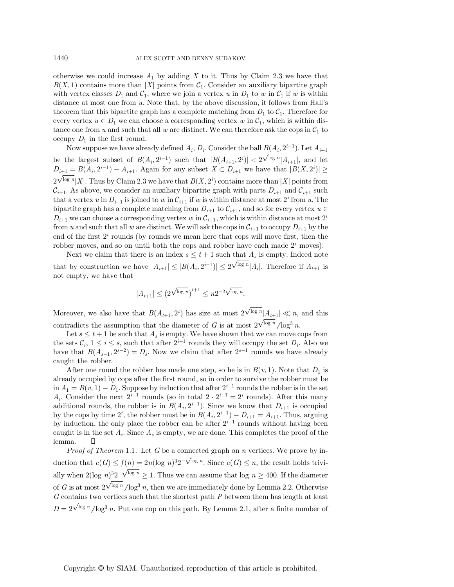otherwise we could increase  $A_1$  by adding X to it. Thus by Claim 2.3 we have that  $B(X, 1)$  contains more than |X| points from  $C_1$ . Consider an auxiliary bipartite graph with vertex classes  $D_1$  and  $C_1$ , where we join a vertex u in  $D_1$  to w in  $C_1$  if w is within distance at most one from  $u$ . Note that, by the above discussion, it follows from Hall's theorem that this bipartite graph has a complete matching from  $D_1$  to  $C_1$ . Therefore for every vertex  $u \in D_1$  we can choose a corresponding vertex w in  $C_1$ , which is within distance one from u and such that all w are distinct. We can therefore ask the cops in  $C_1$  to occupy  $D_1$  in the first round.

Now suppose we have already defined  $A_i$ ,  $D_i$ . Consider the ball  $B(A_i, 2^{i-1})$ . Let  $A_{i+1}$ be the largest subset of  $B(A_i, 2^{i-1})$  such that  $|B(A_{i+1}, 2^i)| < 2^{\sqrt{\log n}}|A_{i+1}|$ , and let  $D = B(A_i, 2^{i-1})$ ,  $A_i = \text{Arg}$  for any subset  $X \subseteq D$ , we have that  $|B(X, 2^i)| >$  $D_{i+1} = B(A_i, 2^{i-1}) - A_{i+1}$ . Again for any subset  $X \subset D_{i+1}$  we have that  $|B(X, 2^i)| \ge$  $\mathcal{C}_{i+1}$ . As above, we consider an auxiliary bipartite graph with parts  $D_{i+1}$  and  $\mathcal{C}_{i+1}$  such that a venture in  $D_{i}$  is issued to win  $\mathcal{C}_{i}$  if wis within distance at most 2*i* from a The  $\sqrt{\log n} |X|$ . Thus by Claim 2.3 we have that  $B(X, 2^{i})$  contains more than  $|X|$  points from that a vertex u in  $D_{i+1}$  is joined to w in  $C_{i+1}$  if w is within distance at most  $2^i$  from u. The bipartite graph has a complete matching from  $D_{i+1}$  to  $C_{i+1}$ , and so for every vertex  $u \in$  $D_{i+1}$  we can choose a corresponding vertex w in  $\mathcal{C}_{i+1}$ , which is within distance at most  $2^i$ from u and such that all w are distinct. We will ask the cops in  $\mathcal{C}_{i+1}$  to occupy  $D_{i+1}$  by the end of the first  $2<sup>i</sup>$  rounds (by rounds we mean here that cops will move first, then the robber moves, and so on until both the cops and robber have each made  $2<sup>i</sup>$  moves).

Next we claim that there is an index  $s \leq t+1$  such that  $A_s$  is empty. Indeed note that by construction we have  $|A_{i+1}| \leq |B(A_i, 2^{i-1})| \leq 2^{\sqrt{\log n}} |A_i|$ . Therefore if  $A_{t+1}$  is not empty, we have that

$$
|A_{t+1}| \leq \bigl(2^{\sqrt{\log n}}\bigr)^{t+1} \leq n 2^{-2\sqrt{\log n}}.
$$

Moreover, we also have that  $B(A_{t+1}, 2^t)$  has size at most  $2^{\sqrt{\log n}} |A_{t+1}| \ll n$ , and this contradicts the assumption that the diameter of G is at most  $2\sqrt{\frac{\log n}{\log n}}/\log^3 n$ .<br>Let  $s < t + 1$  be such that A is empty. We have shown that we can move c

Let  $s \leq t + 1$  be such that  $A_s$  is empty. We have shown that we can move cops from the sets  $\mathcal{C}_i$ ,  $1 \leq i \leq s$ , such that after  $2^{i-1}$  rounds they will occupy the set  $D_i$ . Also we have that  $B(A_{s-1}, 2^{s-2}) = D_s$ . Now we claim that after  $2^{s-1}$  rounds we have already caught the robber.

After one round the robber has made one step, so he is in  $B(v, 1)$ . Note that  $D_1$  is already occupied by cops after the first round, so in order to survive the robber must be in  $A_1 = B(v, 1) - D_1$ . Suppose by induction that after  $2^{i-1}$  rounds the robber is in the set  $A_i$ . Consider the next  $2^{i-1}$  rounds (so in total  $2 \cdot 2^{i-1} = 2^i$  rounds). After this many additional rounds, the robber is in  $B(A_i, 2^{i-1})$ . Since we know that  $D_{i+1}$  is occupied by the cops by time  $2^i$ , the robber must be in  $B(A_i, 2^{i-1}) - D_{i+1} = A_{i+1}$ . Thus, arguing<br>by induction, the only place the robber can be after  $2^{i-1}$  rounds without having been by induction, the only place the robber can be after  $2^{i-1}$  rounds without having been caught is in the set  $A_i$ . Since  $A_s$  is empty, we are done. This completes the proof of the lemma.  $\square$ 

*Proof of Theorem* 1.1. Let  $G$  be a connected graph on  $n$  vertices. We prove by induction that  $c(G) \le f(n) = 2n(\log n)^3 2^{-\sqrt{\log n}}$ . Since  $c(G) \le n$ , the result holds trivially when  $2(\log n)^3 2^{-\sqrt{\log n}} \ge 1$ . Thus we can assume that  $\log n \ge 400$ . If the diameter of G is at most  $2\sqrt{\log n}/\log^3 n$ , then we are immediately done by Lemma 2.2. Otherwise  $G$  contains two vertices such that the shortest path  $P$  between them has length at least  $D = 2^{\sqrt{\log n}} / \log^3 n$ . Put one cop on this path. By Lemma 2.1, after a finite number of

Copyright © by SIAM. Unauthorized reproduction of this article is prohibited.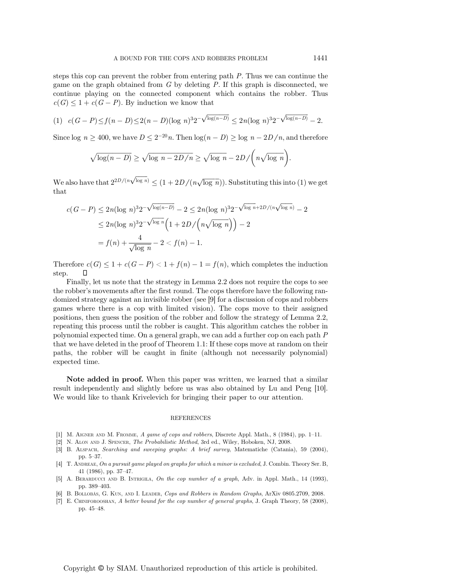steps this cop can prevent the robber from entering path P. Thus we can continue the game on the graph obtained from  $G$  by deleting  $P$ . If this graph is disconnected, we continue playing on the connected component which contains the robber. Thus  $c(G) \leq 1 + c(G - P)$ . By induction we know that

$$
(1) \ c(G-P) \le f(n-D) \le 2(n-D)(\log n)^3 2^{-\sqrt{\log(n-D)}} \le 2n(\log n)^3 2^{-\sqrt{\log(n-D)}} - 2.
$$

Since log  $n \ge 400$ , we have  $D \le 2^{-20}n$ . Then  $\log((n - D) \ge \log (n - 2D/n))$ , and therefore

$$
\sqrt{\log(n-D)} \ge \sqrt{\log n - 2D/n} \ge \sqrt{\log n} - 2D / \left(n\sqrt{\log n}\right).
$$

We also have that  $2^{2D/(n\sqrt{\log n})} \leq (1 + 2D/(n\sqrt{\log n}))$ . Substituting this into (1) we get that

$$
c(G - P) \le 2n(\log n)^3 2^{-\sqrt{\log(n-1)}} - 2 \le 2n(\log n)^3 2^{-\sqrt{\log n} + 2D/(n\sqrt{\log n})} - 2
$$
  

$$
\le 2n(\log n)^3 2^{-\sqrt{\log n}} \left(1 + 2D/\left(n\sqrt{\log n}\right)\right) - 2
$$
  

$$
= f(n) + \frac{4}{\sqrt{\log n}} - 2 < f(n) - 1.
$$

Therefore  $c(G) \leq 1 + c(G - P) < 1 + f(n) - 1 = f(n)$ , which completes the induction step. step.

Finally, let us note that the strategy in Lemma 2.2 does not require the cops to see the robber's movements after the first round. The cops therefore have the following randomized strategy against an invisible robber (see [9] for a discussion of cops and robbers games where there is a cop with limited vision). The cops move to their assigned positions, then guess the position of the robber and follow the strategy of Lemma 2.2, repeating this process until the robber is caught. This algorithm catches the robber in polynomial expected time. On a general graph, we can add a further cop on each path P that we have deleted in the proof of Theorem 1.1: If these cops move at random on their paths, the robber will be caught in finite (although not necessarily polynomial) expected time.

Note added in proof. When this paper was written, we learned that a similar result independently and slightly before us was also obtained by Lu and Peng [10]. We would like to thank Krivelevich for bringing their paper to our attention.

## REFERENCES

- [1] M. AIGNER AND M. FROMME, A game of cops and robbers, Discrete Appl. Math., 8 (1984), pp. 1–11.
- [2] N. ALON AND J. SPENCER, The Probabilistic Method, 3rd ed., Wiley, Hoboken, NJ, 2008.
- [3] B. ALSPACH, Searching and sweeping graphs: A brief survey, Matematiche (Catania), 59 (2004), pp. 5–37.
- [4] T. ANDREAE, On a pursuit game played on graphs for which a minor is excluded, J. Combin. Theory Ser. B, 41 (1986), pp. 37–47.
- [5] A. BERARDUCCI AND B. INTRIGILA, On the cop number of a graph, Adv. in Appl. Math., 14 (1993), pp. 389–403.
- [6] B. BOLLOBÁS, G. KUN, AND I. LEADER, Cops and Robbers in Random Graphs, ArXiv 0805.2709, 2008.
- [7] E. CHINIFOROOSHAN, A better bound for the cop number of general graphs, J. Graph Theory, 58 (2008), pp. 45–48.